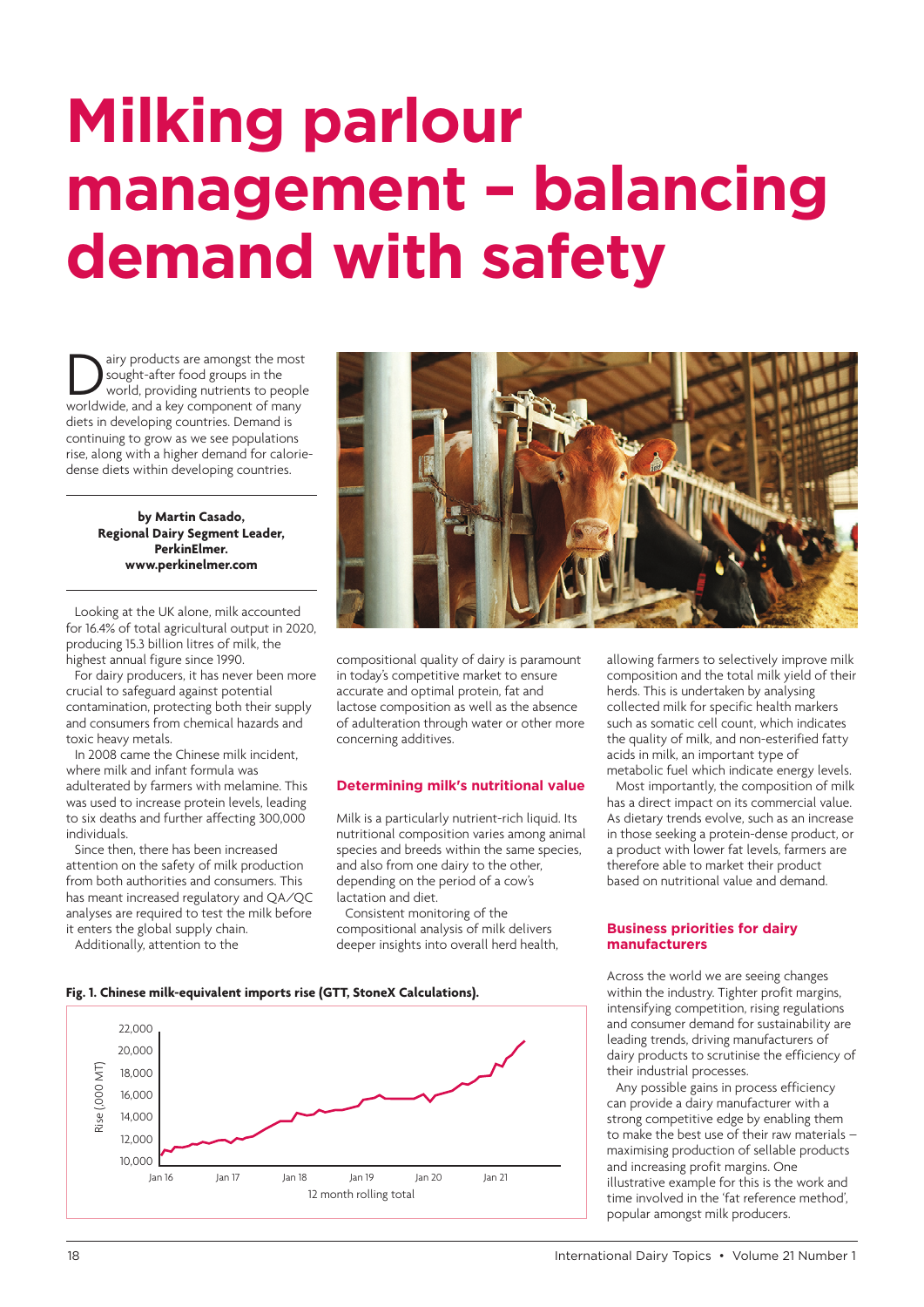# **Milking parlour management – balancing demand with safety**

**D**<br>sought-after food groups in the<br>world, providing nutrients to people<br>worldwide, and a key component of many sought-after food groups in the world, providing nutrients to people diets in developing countries. Demand is continuing to grow as we see populations rise, along with a higher demand for caloriedense diets within developing countries.

#### **by Martin Casado, Regional Dairy Segment Leader, PerkinElmer. www.perkinelmer.com**

Looking at the UK alone, milk accounted for 16.4% of total agricultural output in 2020, producing [15.3 billion litres of milk,](https://www.perkinelmer.com) the highest annual figure since 1990.

For dairy producers, it has never been more crucial to safeguard against potential contamination, protecting both their supply and consumers from chemical hazards and toxic heavy metals.

In 2008 came the Chinese milk incident, where milk and infant formula was adulterated by farmers with melamine. This was used to increase protein levels, leading to six deaths and further affecting 300,000 individuals.

Since then, there has been increased attention on the safety of milk production from both authorities and consumers. This has meant increased regulatory and QA/QC analyses are required to test the milk before it enters the global supply chain.

Additionally, attention to the

compositional quality of dairy is paramount in today's competitive market to ensure accurate and optimal protein, fat and lactose composition as well as the absence of adulteration through water or other more concerning additives.

## **Determining milk's nutritional value**

Milk is a particularly nutrient-rich liquid. Its nutritional composition varies among animal species and breeds within the same species, and also from one dairy to the other, depending on the period of a cow's lactation and diet.

Consistent monitoring of the compositional analysis of milk delivers deeper insights into overall herd health, allowing farmers to selectively improve milk composition and the total milk yield of their herds. This is undertaken by analysing collected milk for specific health markers such as somatic cell count, which indicates the quality of milk, and non-esterified fatty acids in milk, an important type of metabolic fuel which indicate energy levels.

Most importantly, the composition of milk has a direct impact on its commercial value. As dietary trends evolve, such as an increase in those seeking a protein-dense product, or a product with lower fat levels, farmers are therefore able to market their product based on nutritional value and demand.

#### **Business priorities for dairy manufacturers**

Across the world we are seeing changes within the industry. Tighter profit margins, intensifying competition, rising regulations and consumer demand for sustainability are leading trends, driving manufacturers of dairy products to scrutinise the efficiency of their industrial processes.

Any possible gains in process efficiency can provide a dairy manufacturer with a strong competitive edge by enabling them to make the best use of their raw materials – maximising production of sellable products and increasing profit margins. One illustrative example for this is the work and time involved in the 'fat reference method', popular amongst milk producers.

### **Fig. 1. Chinese milk-equivalent imports rise (GTT, StoneX Calculations).**